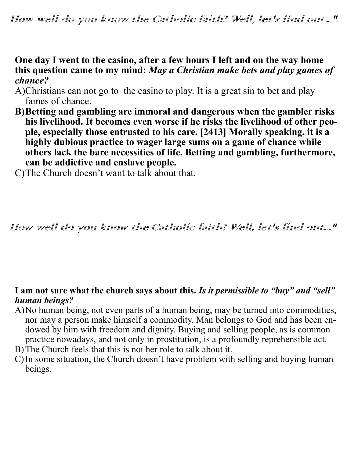## **One day I went to the casino, after a few hours I left and on the way home this question came to my mind:** *May a Christian make bets and play games of chance?*

- A)Christians can not go to the casino to play. It is a great sin to bet and play fames of chance.
- **B)Betting and gambling are immoral and dangerous when the gambler risks his livelihood. It becomes even worse if he risks the livelihood of other people, especially those entrusted to his care. [2413] Morally speaking, it is a highly dubious practice to wager large sums on a game of chance while others lack the bare necessities of life. Betting and gambling, furthermore, can be addictive and enslave people.**

C)The Church doesn't want to talk about that.

# How well do you know the Catholic faith? Well, let's find out..."

#### **I am not sure what the church says about this.** *Is it permissible to "buy" and "sell" human beings?*

- A)No human being, not even parts of a human being, may be turned into commodities, nor may a person make himself a commodity. Man belongs to God and has been endowed by him with freedom and dignity. Buying and selling people, as is common practice nowadays, and not only in prostitution, is a profoundly reprehensible act. B)The Church feels that this is not her role to talk about it.
- C)In some situation, the Church doesn't have problem with selling and buying human beings.